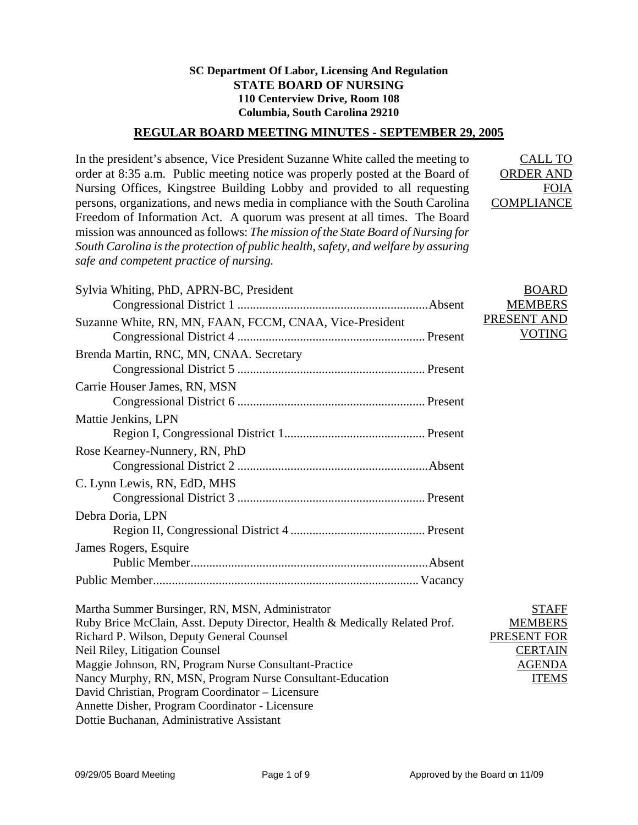# **SC Department Of Labor, Licensing And Regulation STATE BOARD OF NURSING 110 Centerview Drive, Room 108 Columbia, South Carolina 29210**

# **REGULAR BOARD MEETING MINUTES - SEPTEMBER 29, 2005**

In the president's absence, Vice President Suzanne White called the meeting to order at 8:35 a.m. Public meeting notice was properly posted at the Board of Nursing Offices, Kingstree Building Lobby and provided to all requesting persons, organizations, and news media in compliance with the South Carolina Freedom of Information Act. A quorum was present at all times. The Board mission was announced as follows: *The mission of the State Board of Nursing for South Carolina is the protection of public health, safety, and welfare by assuring safe and competent practice of nursing.* ORDER AND **COMPLIANCE** 

| Sylvia Whiting, PhD, APRN-BC, President                                     | <b>BOARD</b>   |
|-----------------------------------------------------------------------------|----------------|
|                                                                             | <b>MEMBERS</b> |
| Suzanne White, RN, MN, FAAN, FCCM, CNAA, Vice-President                     | PRESENT AND    |
|                                                                             | <b>VOTING</b>  |
| Brenda Martin, RNC, MN, CNAA. Secretary                                     |                |
|                                                                             |                |
| Carrie Houser James, RN, MSN                                                |                |
|                                                                             |                |
| Mattie Jenkins, LPN                                                         |                |
|                                                                             |                |
| Rose Kearney-Nunnery, RN, PhD                                               |                |
|                                                                             |                |
| C. Lynn Lewis, RN, EdD, MHS                                                 |                |
|                                                                             |                |
| Debra Doria, LPN                                                            |                |
|                                                                             |                |
| James Rogers, Esquire                                                       |                |
|                                                                             |                |
|                                                                             |                |
| Martha Summer Bursinger, RN, MSN, Administrator                             | <b>STAFF</b>   |
| Ruby Brice McClain, Asst. Deputy Director, Health & Medically Related Prof. | <b>MEMBERS</b> |
| Richard P. Wilson, Deputy General Counsel                                   | PRESENT FOR    |
| Neil Riley, Litigation Counsel                                              | <b>CERTAIN</b> |
| Maggie Johnson, RN, Program Nurse Consultant-Practice                       | <b>AGENDA</b>  |
| Nancy Murphy, RN, MSN, Program Nurse Consultant-Education                   | <b>ITEMS</b>   |
| David Christian, Program Coordinator - Licensure                            |                |
| Annette Disher, Program Coordinator - Licensure                             |                |
| Dottie Buchanan, Administrative Assistant                                   |                |

CALL TO

FOIA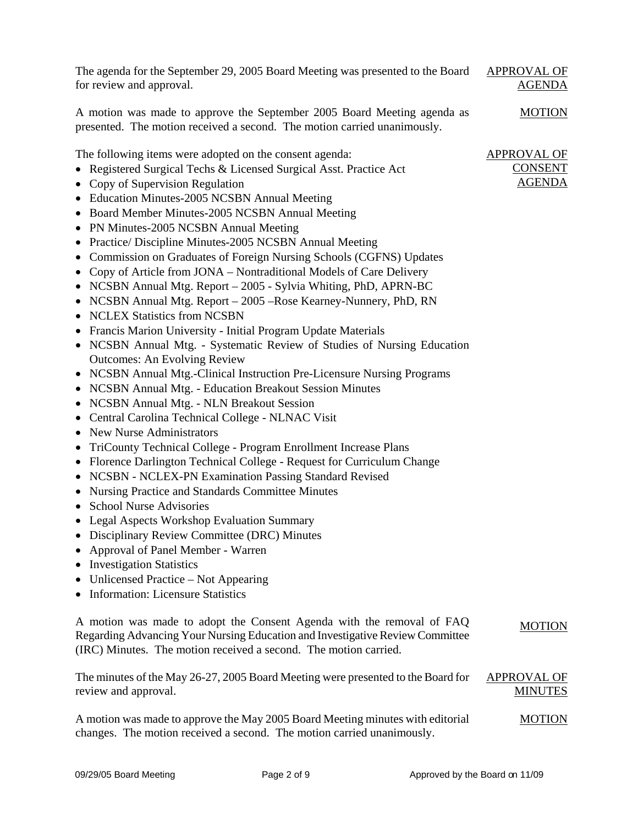| The agenda for the September 29, 2005 Board Meeting was presented to the Board<br>for review and approval.                                                                                                                                                                                                                                                                                                                                                                                                                                                                                                                                                                                                                                                                                                                                                                                                                                                                                                                                                                                                                                                                                                                                                                                                                                                                                                                                                                                                                                                                                                                                                                                                                                     | <b>APPROVAL OF</b><br><b>AGENDA</b>            |
|------------------------------------------------------------------------------------------------------------------------------------------------------------------------------------------------------------------------------------------------------------------------------------------------------------------------------------------------------------------------------------------------------------------------------------------------------------------------------------------------------------------------------------------------------------------------------------------------------------------------------------------------------------------------------------------------------------------------------------------------------------------------------------------------------------------------------------------------------------------------------------------------------------------------------------------------------------------------------------------------------------------------------------------------------------------------------------------------------------------------------------------------------------------------------------------------------------------------------------------------------------------------------------------------------------------------------------------------------------------------------------------------------------------------------------------------------------------------------------------------------------------------------------------------------------------------------------------------------------------------------------------------------------------------------------------------------------------------------------------------|------------------------------------------------|
| A motion was made to approve the September 2005 Board Meeting agenda as<br>presented. The motion received a second. The motion carried unanimously.                                                                                                                                                                                                                                                                                                                                                                                                                                                                                                                                                                                                                                                                                                                                                                                                                                                                                                                                                                                                                                                                                                                                                                                                                                                                                                                                                                                                                                                                                                                                                                                            | <b>MOTION</b>                                  |
| The following items were adopted on the consent agenda:<br>• Registered Surgical Techs & Licensed Surgical Asst. Practice Act<br>• Copy of Supervision Regulation<br>• Education Minutes-2005 NCSBN Annual Meeting<br>• Board Member Minutes-2005 NCSBN Annual Meeting<br>• PN Minutes-2005 NCSBN Annual Meeting<br>• Practice/ Discipline Minutes-2005 NCSBN Annual Meeting<br>Commission on Graduates of Foreign Nursing Schools (CGFNS) Updates<br>$\bullet$<br>• Copy of Article from JONA – Nontraditional Models of Care Delivery<br>• NCSBN Annual Mtg. Report - 2005 - Sylvia Whiting, PhD, APRN-BC<br>• NCSBN Annual Mtg. Report - 2005 - Rose Kearney-Nunnery, PhD, RN<br>• NCLEX Statistics from NCSBN<br>• Francis Marion University - Initial Program Update Materials<br>• NCSBN Annual Mtg. - Systematic Review of Studies of Nursing Education<br><b>Outcomes: An Evolving Review</b><br>• NCSBN Annual Mtg.-Clinical Instruction Pre-Licensure Nursing Programs<br>• NCSBN Annual Mtg. - Education Breakout Session Minutes<br>• NCSBN Annual Mtg. - NLN Breakout Session<br>Central Carolina Technical College - NLNAC Visit<br>• New Nurse Administrators<br>TriCounty Technical College - Program Enrollment Increase Plans<br>• Florence Darlington Technical College - Request for Curriculum Change<br>• NCSBN - NCLEX-PN Examination Passing Standard Revised<br>• Nursing Practice and Standards Committee Minutes<br>• School Nurse Advisories<br>• Legal Aspects Workshop Evaluation Summary<br>Disciplinary Review Committee (DRC) Minutes<br>Approval of Panel Member - Warren<br><b>Investigation Statistics</b><br>$\bullet$<br>Unlicensed Practice – Not Appearing<br><b>Information: Licensure Statistics</b> | APPROVAL OF<br><b>CONSENT</b><br><b>AGENDA</b> |
| A motion was made to adopt the Consent Agenda with the removal of FAQ<br>Regarding Advancing Your Nursing Education and Investigative Review Committee<br>(IRC) Minutes. The motion received a second. The motion carried.                                                                                                                                                                                                                                                                                                                                                                                                                                                                                                                                                                                                                                                                                                                                                                                                                                                                                                                                                                                                                                                                                                                                                                                                                                                                                                                                                                                                                                                                                                                     | <b>MOTION</b>                                  |
| The minutes of the May 26-27, 2005 Board Meeting were presented to the Board for<br>review and approval.                                                                                                                                                                                                                                                                                                                                                                                                                                                                                                                                                                                                                                                                                                                                                                                                                                                                                                                                                                                                                                                                                                                                                                                                                                                                                                                                                                                                                                                                                                                                                                                                                                       | <b>APPROVAL OF</b><br><b>MINUTES</b>           |
| A motion was made to approve the May 2005 Board Meeting minutes with editorial<br>changes. The motion received a second. The motion carried unanimously.                                                                                                                                                                                                                                                                                                                                                                                                                                                                                                                                                                                                                                                                                                                                                                                                                                                                                                                                                                                                                                                                                                                                                                                                                                                                                                                                                                                                                                                                                                                                                                                       | <b>MOTION</b>                                  |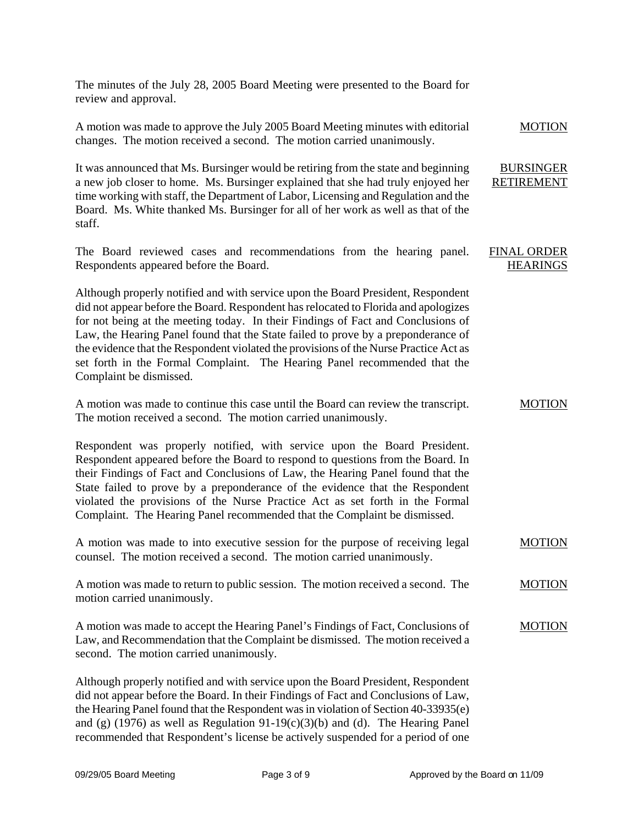The minutes of the July 28, 2005 Board Meeting were presented to the Board for review and approval.

A motion was made to approve the July 2005 Board Meeting minutes with editorial changes. The motion received a second. The motion carried unanimously. MOTION

It was announced that Ms. Bursinger would be retiring from the state and beginning a new job closer to home. Ms. Bursinger explained that she had truly enjoyed her time working with staff, the Department of Labor, Licensing and Regulation and the Board. Ms. White thanked Ms. Bursinger for all of her work as well as that of the staff. BURSINGER RETIREMENT

The Board reviewed cases and recommendations from the hearing panel. Respondents appeared before the Board. FINAL ORDER HEARINGS

Although properly notified and with service upon the Board President, Respondent did not appear before the Board. Respondent has relocated to Florida and apologizes for not being at the meeting today. In their Findings of Fact and Conclusions of Law, the Hearing Panel found that the State failed to prove by a preponderance of the evidence that the Respondent violated the provisions of the Nurse Practice Act as set forth in the Formal Complaint. The Hearing Panel recommended that the Complaint be dismissed.

A motion was made to continue this case until the Board can review the transcript. The motion received a second. The motion carried unanimously. MOTION

Respondent was properly notified, with service upon the Board President. Respondent appeared before the Board to respond to questions from the Board. In their Findings of Fact and Conclusions of Law, the Hearing Panel found that the State failed to prove by a preponderance of the evidence that the Respondent violated the provisions of the Nurse Practice Act as set forth in the Formal Complaint. The Hearing Panel recommended that the Complaint be dismissed.

A motion was made to into executive session for the purpose of receiving legal counsel. The motion received a second. The motion carried unanimously. MOTION

A motion was made to return to public session. The motion received a second. The motion carried unanimously. **MOTION** 

A motion was made to accept the Hearing Panel's Findings of Fact, Conclusions of Law, and Recommendation that the Complaint be dismissed. The motion received a second. The motion carried unanimously. MOTION

Although properly notified and with service upon the Board President, Respondent did not appear before the Board. In their Findings of Fact and Conclusions of Law, the Hearing Panel found that the Respondent was in violation of Section 40-33935(e) and (g) (1976) as well as Regulation 91-19 $(c)(3)(b)$  and (d). The Hearing Panel recommended that Respondent's license be actively suspended for a period of one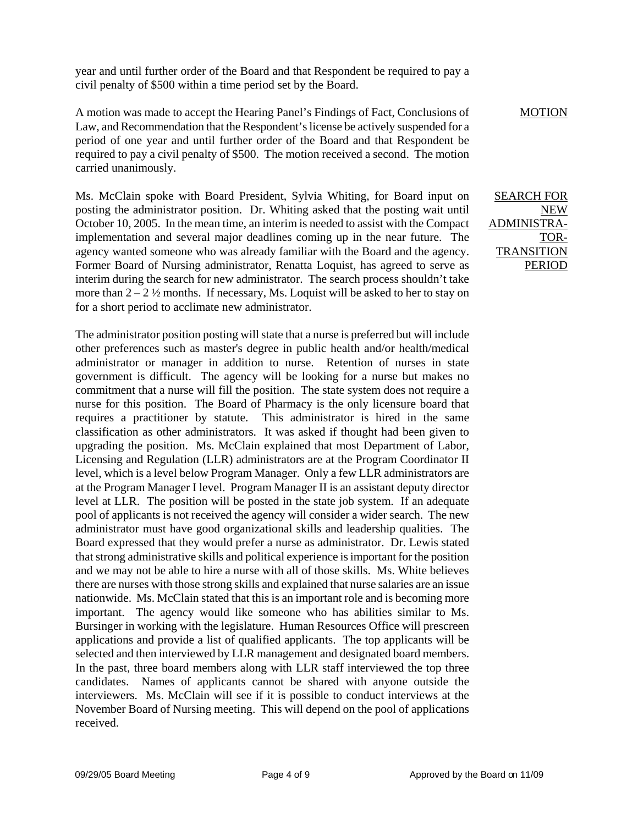year and until further order of the Board and that Respondent be required to pay a civil penalty of \$500 within a time period set by the Board.

A motion was made to accept the Hearing Panel's Findings of Fact, Conclusions of Law, and Recommendation that the Respondent's license be actively suspended for a period of one year and until further order of the Board and that Respondent be required to pay a civil penalty of \$500. The motion received a second. The motion carried unanimously.

Ms. McClain spoke with Board President, Sylvia Whiting, for Board input on posting the administrator position. Dr. Whiting asked that the posting wait until October 10, 2005. In the mean time, an interim is needed to assist with the Compact implementation and several major deadlines coming up in the near future. The agency wanted someone who was already familiar with the Board and the agency. Former Board of Nursing administrator, Renatta Loquist, has agreed to serve as interim during the search for new administrator. The search process shouldn't take more than  $2 - 2 \frac{1}{2}$  months. If necessary, Ms. Loquist will be asked to her to stay on for a short period to acclimate new administrator.

The administrator position posting will state that a nurse is preferred but will include other preferences such as master's degree in public health and/or health/medical administrator or manager in addition to nurse. Retention of nurses in state government is difficult. The agency will be looking for a nurse but makes no commitment that a nurse will fill the position. The state system does not require a nurse for this position. The Board of Pharmacy is the only licensure board that requires a practitioner by statute. This administrator is hired in the same classification as other administrators. It was asked if thought had been given to upgrading the position. Ms. McClain explained that most Department of Labor, Licensing and Regulation (LLR) administrators are at the Program Coordinator II level, which is a level below Program Manager. Only a few LLR administrators are at the Program Manager I level. Program Manager II is an assistant deputy director level at LLR. The position will be posted in the state job system. If an adequate pool of applicants is not received the agency will consider a wider search. The new administrator must have good organizational skills and leadership qualities. The Board expressed that they would prefer a nurse as administrator. Dr. Lewis stated that strong administrative skills and political experience is important for the position and we may not be able to hire a nurse with all of those skills. Ms. White believes there are nurses with those strong skills and explained that nurse salaries are an issue nationwide. Ms. McClain stated that this is an important role and is becoming more important. The agency would like someone who has abilities similar to Ms. Bursinger in working with the legislature. Human Resources Office will prescreen applications and provide a list of qualified applicants. The top applicants will be selected and then interviewed by LLR management and designated board members. In the past, three board members along with LLR staff interviewed the top three candidates. Names of applicants cannot be shared with anyone outside the interviewers. Ms. McClain will see if it is possible to conduct interviews at the November Board of Nursing meeting. This will depend on the pool of applications received.

MOTION

SEARCH FOR NEW ADMINISTRA-TOR-**TRANSITION** PERIOD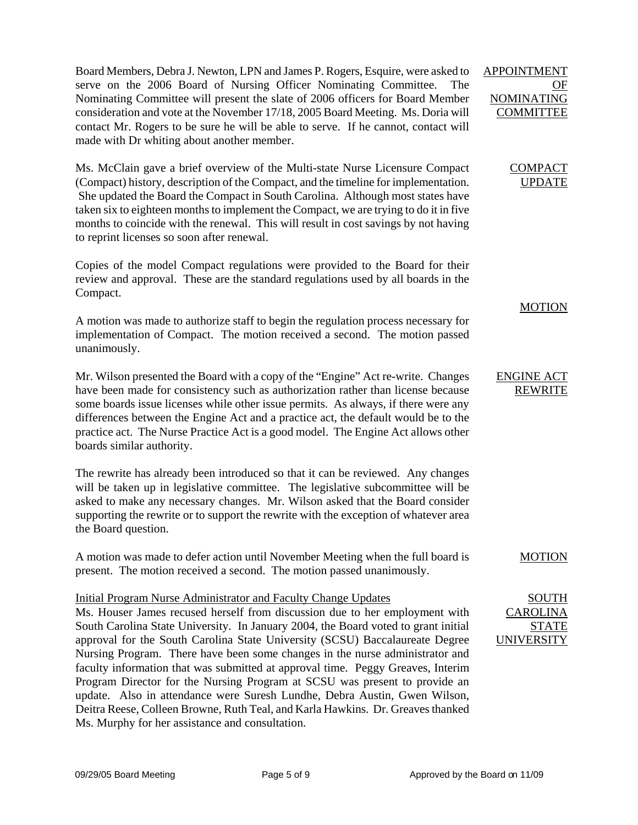Board Members, Debra J. Newton, LPN and James P. Rogers, Esquire, were asked to serve on the 2006 Board of Nursing Officer Nominating Committee. The Nominating Committee will present the slate of 2006 officers for Board Member consideration and vote at the November 17/18, 2005 Board Meeting. Ms. Doria will contact Mr. Rogers to be sure he will be able to serve. If he cannot, contact will made with Dr whiting about another member.

Ms. McClain gave a brief overview of the Multi-state Nurse Licensure Compact (Compact) history, description of the Compact, and the timeline for implementation. She updated the Board the Compact in South Carolina. Although most states have taken six to eighteen months to implement the Compact, we are trying to do it in five months to coincide with the renewal. This will result in cost savings by not having to reprint licenses so soon after renewal.

Copies of the model Compact regulations were provided to the Board for their review and approval. These are the standard regulations used by all boards in the Compact.

A motion was made to authorize staff to begin the regulation process necessary for implementation of Compact. The motion received a second. The motion passed unanimously.

Mr. Wilson presented the Board with a copy of the "Engine" Act re-write. Changes have been made for consistency such as authorization rather than license because some boards issue licenses while other issue permits. As always, if there were any differences between the Engine Act and a practice act, the default would be to the practice act. The Nurse Practice Act is a good model. The Engine Act allows other boards similar authority.

The rewrite has already been introduced so that it can be reviewed. Any changes will be taken up in legislative committee. The legislative subcommittee will be asked to make any necessary changes. Mr. Wilson asked that the Board consider supporting the rewrite or to support the rewrite with the exception of whatever area the Board question.

A motion was made to defer action until November Meeting when the full board is present. The motion received a second. The motion passed unanimously.

Initial Program Nurse Administrator and Faculty Change Updates

Ms. Houser James recused herself from discussion due to her employment with South Carolina State University. In January 2004, the Board voted to grant initial approval for the South Carolina State University (SCSU) Baccalaureate Degree Nursing Program. There have been some changes in the nurse administrator and faculty information that was submitted at approval time. Peggy Greaves, Interim Program Director for the Nursing Program at SCSU was present to provide an update. Also in attendance were Suresh Lundhe, Debra Austin, Gwen Wilson, Deitra Reese, Colleen Browne, Ruth Teal, and Karla Hawkins. Dr. Greaves thanked Ms. Murphy for her assistance and consultation.

APPOINTMENT OF NOMINATING COMMITTEE

> COMPACT UPDATE

> > MOTION

### ENGINE ACT REWRITE

MOTION

## SOUTH CAROLINA STATE UNIVERSITY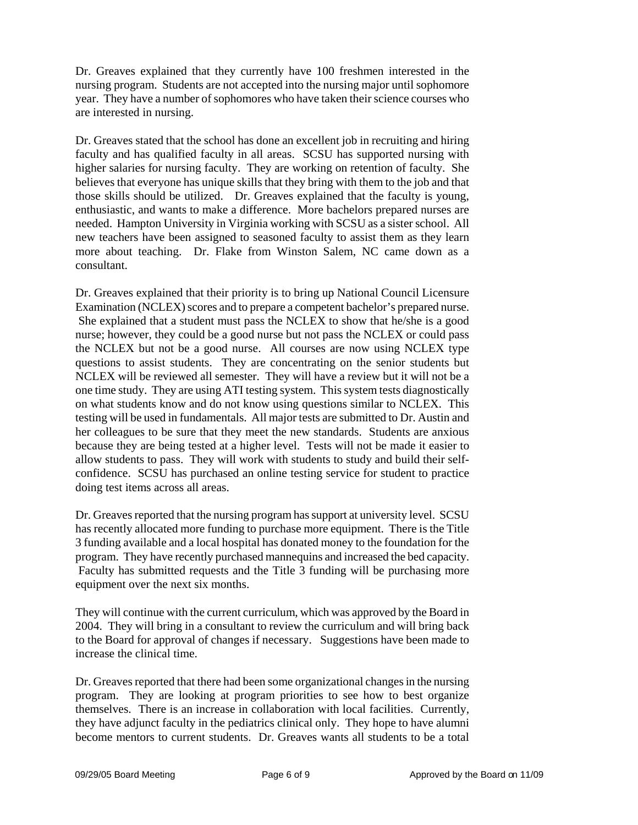Dr. Greaves explained that they currently have 100 freshmen interested in the nursing program. Students are not accepted into the nursing major until sophomore year. They have a number of sophomores who have taken their science courses who are interested in nursing.

Dr. Greaves stated that the school has done an excellent job in recruiting and hiring faculty and has qualified faculty in all areas. SCSU has supported nursing with higher salaries for nursing faculty. They are working on retention of faculty. She believes that everyone has unique skills that they bring with them to the job and that those skills should be utilized. Dr. Greaves explained that the faculty is young, enthusiastic, and wants to make a difference. More bachelors prepared nurses are needed. Hampton University in Virginia working with SCSU as a sister school. All new teachers have been assigned to seasoned faculty to assist them as they learn more about teaching. Dr. Flake from Winston Salem, NC came down as a consultant.

Dr. Greaves explained that their priority is to bring up National Council Licensure Examination (NCLEX) scores and to prepare a competent bachelor's prepared nurse. She explained that a student must pass the NCLEX to show that he/she is a good nurse; however, they could be a good nurse but not pass the NCLEX or could pass the NCLEX but not be a good nurse. All courses are now using NCLEX type questions to assist students. They are concentrating on the senior students but NCLEX will be reviewed all semester. They will have a review but it will not be a one time study. They are using ATI testing system. This system tests diagnostically on what students know and do not know using questions similar to NCLEX. This testing will be used in fundamentals. All major tests are submitted to Dr. Austin and her colleagues to be sure that they meet the new standards. Students are anxious because they are being tested at a higher level. Tests will not be made it easier to allow students to pass. They will work with students to study and build their selfconfidence. SCSU has purchased an online testing service for student to practice doing test items across all areas.

Dr. Greaves reported that the nursing program has support at university level. SCSU has recently allocated more funding to purchase more equipment. There is the Title 3 funding available and a local hospital has donated money to the foundation for the program. They have recently purchased mannequins and increased the bed capacity. Faculty has submitted requests and the Title 3 funding will be purchasing more equipment over the next six months.

They will continue with the current curriculum, which was approved by the Board in 2004. They will bring in a consultant to review the curriculum and will bring back to the Board for approval of changes if necessary. Suggestions have been made to increase the clinical time.

Dr. Greaves reported that there had been some organizational changes in the nursing program. They are looking at program priorities to see how to best organize themselves. There is an increase in collaboration with local facilities. Currently, they have adjunct faculty in the pediatrics clinical only. They hope to have alumni become mentors to current students. Dr. Greaves wants all students to be a total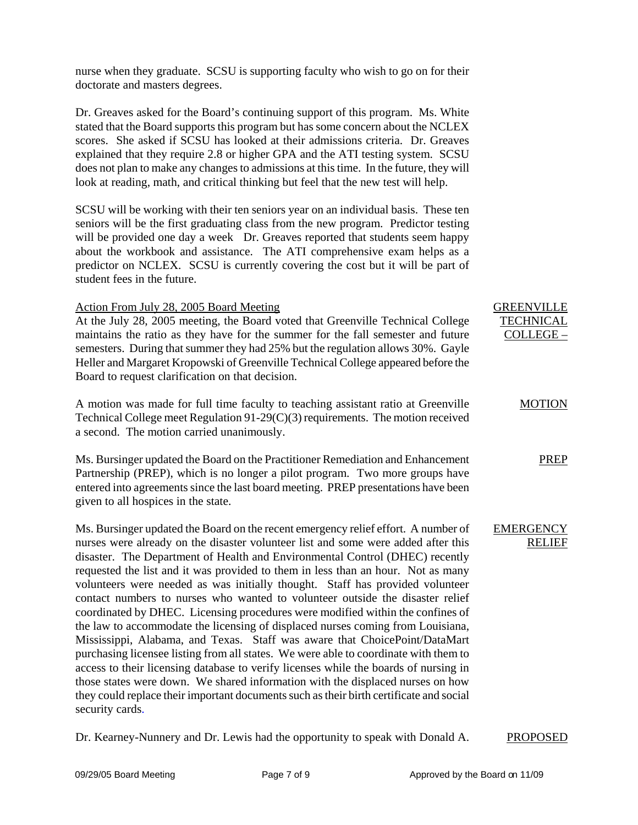nurse when they graduate. SCSU is supporting faculty who wish to go on for their doctorate and masters degrees.

Dr. Greaves asked for the Board's continuing support of this program. Ms. White stated that the Board supports this program but has some concern about the NCLEX scores. She asked if SCSU has looked at their admissions criteria. Dr. Greaves explained that they require 2.8 or higher GPA and the ATI testing system. SCSU does not plan to make any changes to admissions at this time. In the future, they will look at reading, math, and critical thinking but feel that the new test will help.

SCSU will be working with their ten seniors year on an individual basis. These ten seniors will be the first graduating class from the new program. Predictor testing will be provided one day a week Dr. Greaves reported that students seem happy about the workbook and assistance. The ATI comprehensive exam helps as a predictor on NCLEX. SCSU is currently covering the cost but it will be part of student fees in the future.

Action From July 28, 2005 Board Meeting

At the July 28, 2005 meeting, the Board voted that Greenville Technical College maintains the ratio as they have for the summer for the fall semester and future semesters. During that summer they had 25% but the regulation allows 30%. Gayle Heller and Margaret Kropowski of Greenville Technical College appeared before the Board to request clarification on that decision.

A motion was made for full time faculty to teaching assistant ratio at Greenville Technical College meet Regulation 91-29(C)(3) requirements. The motion received a second. The motion carried unanimously. **MOTION** 

Ms. Bursinger updated the Board on the Practitioner Remediation and Enhancement Partnership (PREP), which is no longer a pilot program. Two more groups have entered into agreements since the last board meeting. PREP presentations have been given to all hospices in the state. PREP

Ms. Bursinger updated the Board on the recent emergency relief effort. A number of nurses were already on the disaster volunteer list and some were added after this disaster. The Department of Health and Environmental Control (DHEC) recently requested the list and it was provided to them in less than an hour. Not as many volunteers were needed as was initially thought. Staff has provided volunteer contact numbers to nurses who wanted to volunteer outside the disaster relief coordinated by DHEC. Licensing procedures were modified within the confines of the law to accommodate the licensing of displaced nurses coming from Louisiana, Mississippi, Alabama, and Texas. Staff was aware that ChoicePoint/DataMart purchasing licensee listing from all states. We were able to coordinate with them to access to their licensing database to verify licenses while the boards of nursing in those states were down. We shared information with the displaced nurses on how they could replace their important documents such as their birth certificate and social security cards. EMERGENCY RELIEF

Dr. Kearney-Nunnery and Dr. Lewis had the opportunity to speak with Donald A. PROPOSED

GREENVILLE TECHNICAL COLLEGE –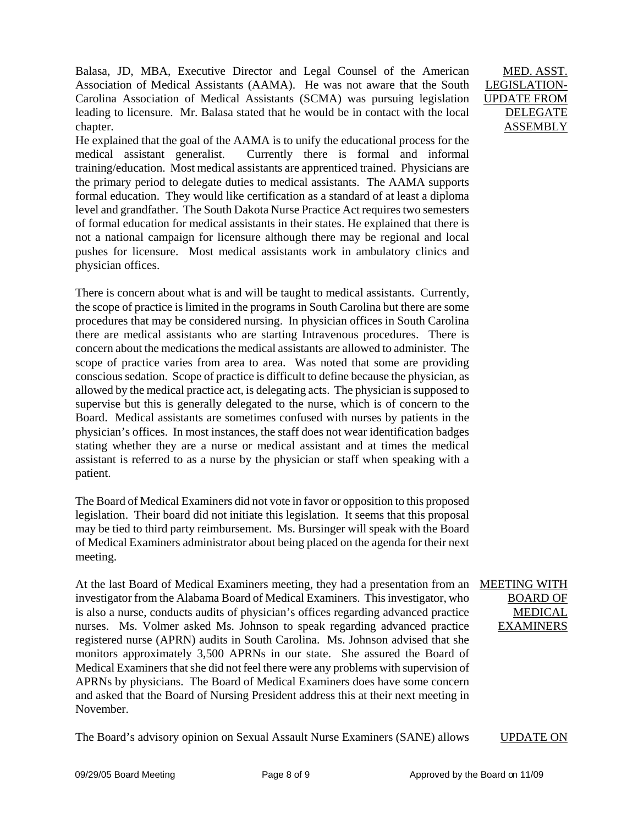Balasa, JD, MBA, Executive Director and Legal Counsel of the American Association of Medical Assistants (AAMA). He was not aware that the South Carolina Association of Medical Assistants (SCMA) was pursuing legislation leading to licensure. Mr. Balasa stated that he would be in contact with the local chapter.

He explained that the goal of the AAMA is to unify the educational process for the medical assistant generalist. Currently there is formal and informal training/education. Most medical assistants are apprenticed trained. Physicians are the primary period to delegate duties to medical assistants. The AAMA supports formal education. They would like certification as a standard of at least a diploma level and grandfather. The South Dakota Nurse Practice Act requires two semesters of formal education for medical assistants in their states. He explained that there is not a national campaign for licensure although there may be regional and local pushes for licensure. Most medical assistants work in ambulatory clinics and physician offices.

There is concern about what is and will be taught to medical assistants. Currently, the scope of practice is limited in the programs in South Carolina but there are some procedures that may be considered nursing. In physician offices in South Carolina there are medical assistants who are starting Intravenous procedures. There is concern about the medications the medical assistants are allowed to administer. The scope of practice varies from area to area. Was noted that some are providing conscious sedation. Scope of practice is difficult to define because the physician, as allowed by the medical practice act, is delegating acts. The physician is supposed to supervise but this is generally delegated to the nurse, which is of concern to the Board. Medical assistants are sometimes confused with nurses by patients in the physician's offices. In most instances, the staff does not wear identification badges stating whether they are a nurse or medical assistant and at times the medical assistant is referred to as a nurse by the physician or staff when speaking with a patient.

The Board of Medical Examiners did not vote in favor or opposition to this proposed legislation. Their board did not initiate this legislation. It seems that this proposal may be tied to third party reimbursement. Ms. Bursinger will speak with the Board of Medical Examiners administrator about being placed on the agenda for their next meeting.

At the last Board of Medical Examiners meeting, they had a presentation from an MEETING WITH investigator from the Alabama Board of Medical Examiners. This investigator, who is also a nurse, conducts audits of physician's offices regarding advanced practice nurses. Ms. Volmer asked Ms. Johnson to speak regarding advanced practice registered nurse (APRN) audits in South Carolina. Ms. Johnson advised that she monitors approximately 3,500 APRNs in our state. She assured the Board of Medical Examiners that she did not feel there were any problems with supervision of APRNs by physicians. The Board of Medical Examiners does have some concern and asked that the Board of Nursing President address this at their next meeting in November.

The Board's advisory opinion on Sexual Assault Nurse Examiners (SANE) allows UPDATE ON

BOARD OF MEDICAL EXAMINERS

MED. ASST. LEGISLATION-UPDATE FROM DELEGATE ASSEMBLY